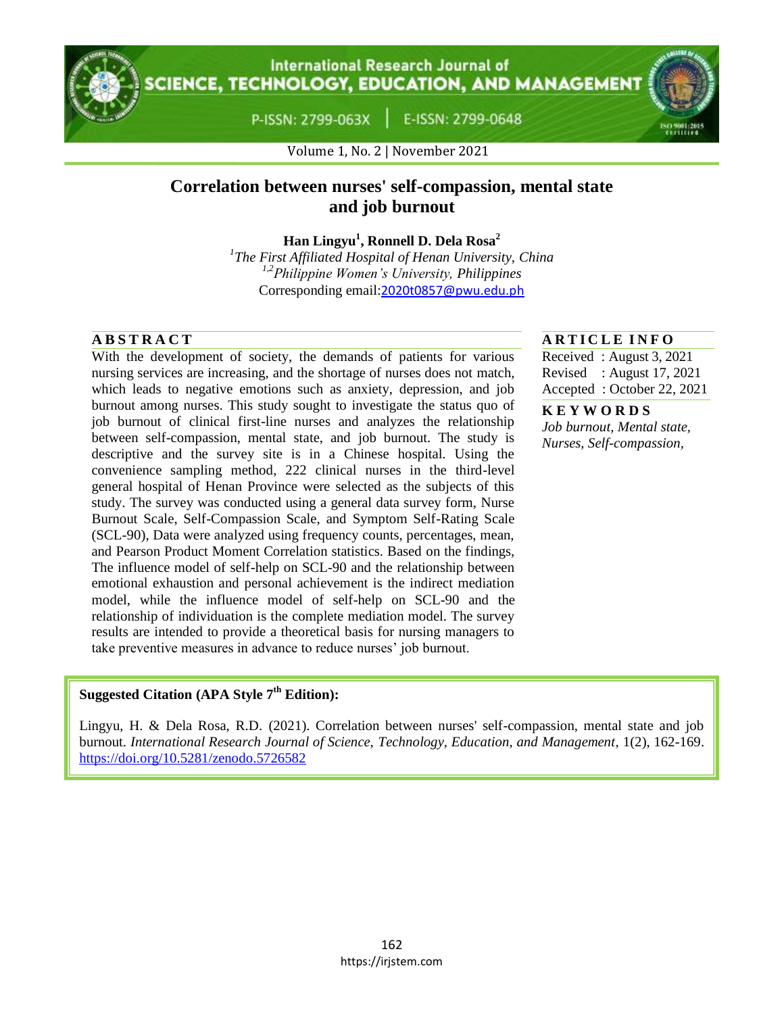**International Research Journal of CIENCE, TECHNOLOGY, EDUCATION, AND MANAGEMENT** 

P-ISSN: 2799-063X

E-ISSN: 2799-0648

Volume 1, No. 2 | November 2021

# **Correlation between nurses' self-compassion, mental state and job burnout**

**Han Lingyu<sup>1</sup> , Ronnell D. Dela Rosa<sup>2</sup>**

*1 The First Affiliated Hospital of Henan University, China 1,2Philippine Women's University, Philippines* Corresponding email:[2020t0857@pwu.edu.ph](mailto:2020t0857@pwu.edu.ph)

With the development of society, the demands of patients for various nursing services are increasing, and the shortage of nurses does not match, which leads to negative emotions such as anxiety, depression, and job burnout among nurses. This study sought to investigate the status quo of job burnout of clinical first-line nurses and analyzes the relationship between self-compassion, mental state, and job burnout. The study is descriptive and the survey site is in a Chinese hospital. Using the convenience sampling method, 222 clinical nurses in the third-level general hospital of Henan Province were selected as the subjects of this study. The survey was conducted using a general data survey form, Nurse Burnout Scale, Self-Compassion Scale, and Symptom Self-Rating Scale (SCL-90), Data were analyzed using frequency counts, percentages, mean, and Pearson Product Moment Correlation statistics. Based on the findings, The influence model of self-help on SCL-90 and the relationship between emotional exhaustion and personal achievement is the indirect mediation model, while the influence model of self-help on SCL-90 and the relationship of individuation is the complete mediation model. The survey results are intended to provide a theoretical basis for nursing managers to take preventive measures in advance to reduce nurses' job burnout.

# **A B S T R A C T A R T I C L E I N F O**

Received : August 3, 2021 Revised : August 17, 2021 Accepted : October 22, 2021

**K E Y W O R D S** *Job burnout, Mental state, Nurses, Self-compassion,*

# **Suggested Citation (APA Style 7th Edition):**

Lingyu, H. & Dela Rosa, R.D. (2021). Correlation between nurses' self-compassion, mental state and job burnout. *International Research Journal of Science, Technology, Education, and Management*, 1(2), 162-169. https://doi.org/10.5281/zenodo.5726582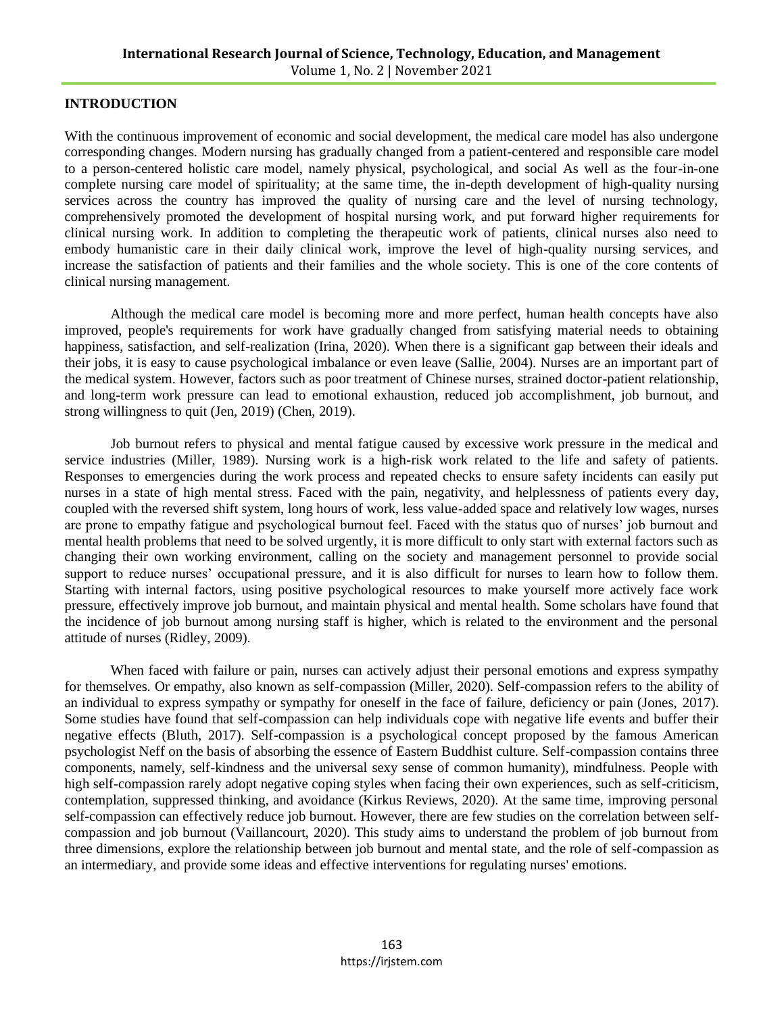# **INTRODUCTION**

With the continuous improvement of economic and social development, the medical care model has also undergone corresponding changes. Modern nursing has gradually changed from a patient-centered and responsible care model to a person-centered holistic care model, namely physical, psychological, and social As well as the four-in-one complete nursing care model of spirituality; at the same time, the in-depth development of high-quality nursing services across the country has improved the quality of nursing care and the level of nursing technology, comprehensively promoted the development of hospital nursing work, and put forward higher requirements for clinical nursing work. In addition to completing the therapeutic work of patients, clinical nurses also need to embody humanistic care in their daily clinical work, improve the level of high-quality nursing services, and increase the satisfaction of patients and their families and the whole society. This is one of the core contents of clinical nursing management.

Although the medical care model is becoming more and more perfect, human health concepts have also improved, people's requirements for work have gradually changed from satisfying material needs to obtaining happiness, satisfaction, and self-realization (Irina, 2020). When there is a significant gap between their ideals and their jobs, it is easy to cause psychological imbalance or even leave (Sallie, 2004). Nurses are an important part of the medical system. However, factors such as poor treatment of Chinese nurses, strained doctor-patient relationship, and long-term work pressure can lead to emotional exhaustion, reduced job accomplishment, job burnout, and strong willingness to quit (Jen, 2019) (Chen, 2019).

Job burnout refers to physical and mental fatigue caused by excessive work pressure in the medical and service industries (Miller, 1989). Nursing work is a high-risk work related to the life and safety of patients. Responses to emergencies during the work process and repeated checks to ensure safety incidents can easily put nurses in a state of high mental stress. Faced with the pain, negativity, and helplessness of patients every day, coupled with the reversed shift system, long hours of work, less value-added space and relatively low wages, nurses are prone to empathy fatigue and psychological burnout feel. Faced with the status quo of nurses' job burnout and mental health problems that need to be solved urgently, it is more difficult to only start with external factors such as changing their own working environment, calling on the society and management personnel to provide social support to reduce nurses' occupational pressure, and it is also difficult for nurses to learn how to follow them. Starting with internal factors, using positive psychological resources to make yourself more actively face work pressure, effectively improve job burnout, and maintain physical and mental health. Some scholars have found that the incidence of job burnout among nursing staff is higher, which is related to the environment and the personal attitude of nurses (Ridley, 2009).

When faced with failure or pain, nurses can actively adjust their personal emotions and express sympathy for themselves. Or empathy, also known as self-compassion (Miller, 2020). Self-compassion refers to the ability of an individual to express sympathy or sympathy for oneself in the face of failure, deficiency or pain (Jones, 2017). Some studies have found that self-compassion can help individuals cope with negative life events and buffer their negative effects (Bluth, 2017). Self-compassion is a psychological concept proposed by the famous American psychologist Neff on the basis of absorbing the essence of Eastern Buddhist culture. Self-compassion contains three components, namely, self-kindness and the universal sexy sense of common humanity), mindfulness. People with high self-compassion rarely adopt negative coping styles when facing their own experiences, such as self-criticism, contemplation, suppressed thinking, and avoidance (Kirkus Reviews, 2020). At the same time, improving personal self-compassion can effectively reduce job burnout. However, there are few studies on the correlation between selfcompassion and job burnout (Vaillancourt, 2020). This study aims to understand the problem of job burnout from three dimensions, explore the relationship between job burnout and mental state, and the role of self-compassion as an intermediary, and provide some ideas and effective interventions for regulating nurses' emotions.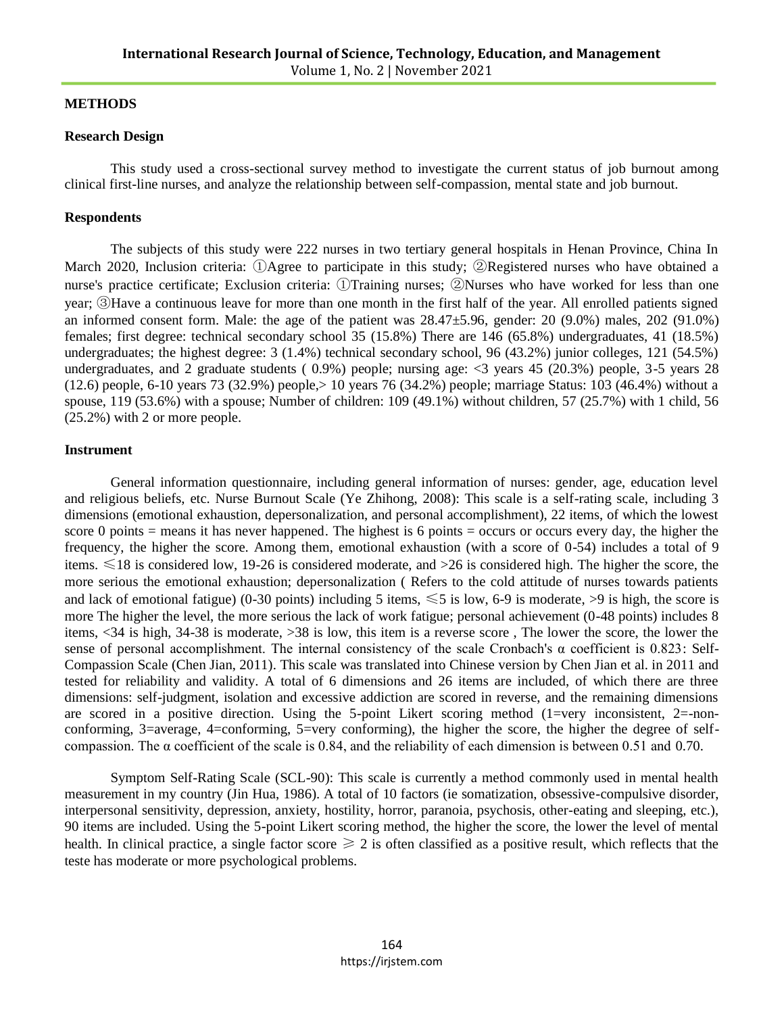# **METHODS**

### **Research Design**

This study used a cross-sectional survey method to investigate the current status of job burnout among clinical first-line nurses, and analyze the relationship between self-compassion, mental state and job burnout.

### **Respondents**

The subjects of this study were 222 nurses in two tertiary general hospitals in Henan Province, China In March 2020, Inclusion criteria: ①Agree to participate in this study; ②Registered nurses who have obtained a nurse's practice certificate; Exclusion criteria: ①Training nurses; ②Nurses who have worked for less than one year; ③Have a continuous leave for more than one month in the first half of the year. All enrolled patients signed an informed consent form. Male: the age of the patient was  $28.47\pm5.96$ , gender: 20 (9.0%) males, 202 (91.0%) females; first degree: technical secondary school 35 (15.8%) There are 146 (65.8%) undergraduates, 41 (18.5%) undergraduates; the highest degree: 3 (1.4%) technical secondary school, 96 (43.2%) junior colleges, 121 (54.5%) undergraduates, and 2 graduate students ( 0.9%) people; nursing age: <3 years 45 (20.3%) people, 3-5 years 28 (12.6) people, 6-10 years 73 (32.9%) people,> 10 years 76 (34.2%) people; marriage Status: 103 (46.4%) without a spouse, 119 (53.6%) with a spouse; Number of children: 109 (49.1%) without children, 57 (25.7%) with 1 child, 56 (25.2%) with 2 or more people.

### **Instrument**

General information questionnaire, including general information of nurses: gender, age, education level and religious beliefs, etc. Nurse Burnout Scale (Ye Zhihong, 2008): This scale is a self-rating scale, including 3 dimensions (emotional exhaustion, depersonalization, and personal accomplishment), 22 items, of which the lowest score 0 points = means it has never happened. The highest is 6 points = occurs or occurs every day, the higher the frequency, the higher the score. Among them, emotional exhaustion (with a score of 0-54) includes a total of 9 items.  $\leq 18$  is considered low, 19-26 is considered moderate, and >26 is considered high. The higher the score, the more serious the emotional exhaustion; depersonalization ( Refers to the cold attitude of nurses towards patients and lack of emotional fatigue) (0-30 points) including 5 items,  $\leq 5$  is low, 6-9 is moderate, >9 is high, the score is more The higher the level, the more serious the lack of work fatigue; personal achievement (0-48 points) includes 8 items, <34 is high, 34-38 is moderate, >38 is low, this item is a reverse score , The lower the score, the lower the sense of personal accomplishment. The internal consistency of the scale Cronbach's  $\alpha$  coefficient is 0.823: Self-Compassion Scale (Chen Jian, 2011). This scale was translated into Chinese version by Chen Jian et al. in 2011 and tested for reliability and validity. A total of 6 dimensions and 26 items are included, of which there are three dimensions: self-judgment, isolation and excessive addiction are scored in reverse, and the remaining dimensions are scored in a positive direction. Using the 5-point Likert scoring method (1=very inconsistent, 2=-nonconforming, 3=average, 4=conforming, 5=very conforming), the higher the score, the higher the degree of selfcompassion. The  $\alpha$  coefficient of the scale is 0.84, and the reliability of each dimension is between 0.51 and 0.70.

Symptom Self-Rating Scale (SCL-90): This scale is currently a method commonly used in mental health measurement in my country (Jin Hua, 1986). A total of 10 factors (ie somatization, obsessive-compulsive disorder, interpersonal sensitivity, depression, anxiety, hostility, horror, paranoia, psychosis, other-eating and sleeping, etc.), 90 items are included. Using the 5-point Likert scoring method, the higher the score, the lower the level of mental health. In clinical practice, a single factor score  $\geq 2$  is often classified as a positive result, which reflects that the teste has moderate or more psychological problems.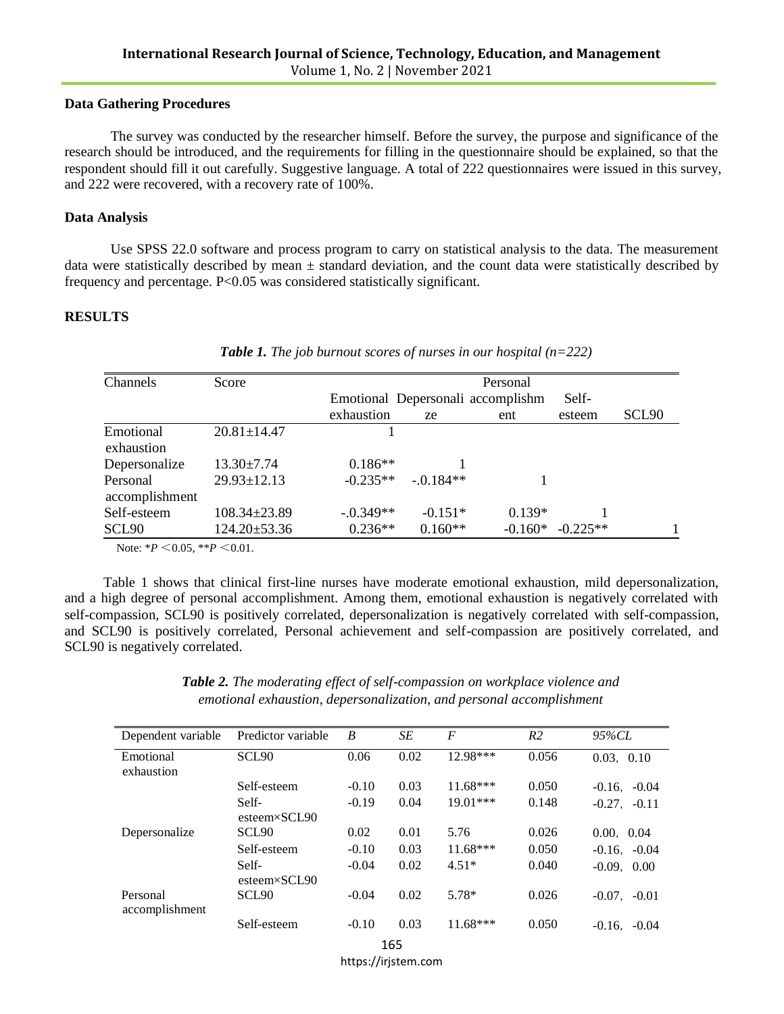#### **Data Gathering Procedures**

The survey was conducted by the researcher himself. Before the survey, the purpose and significance of the research should be introduced, and the requirements for filling in the questionnaire should be explained, so that the respondent should fill it out carefully. Suggestive language. A total of 222 questionnaires were issued in this survey, and 222 were recovered, with a recovery rate of 100%.

#### **Data Analysis**

Use SPSS 22.0 software and process program to carry on statistical analysis to the data. The measurement data were statistically described by mean  $\pm$  standard deviation, and the count data were statistically described by frequency and percentage. P<0.05 was considered statistically significant.

# **RESULTS**

| Channels                   | Score              |            |             | Personal                          |            |       |
|----------------------------|--------------------|------------|-------------|-----------------------------------|------------|-------|
|                            |                    |            |             | Emotional Depersonali accomplishm | Self-      |       |
|                            |                    | exhaustion | ze          | ent                               | esteem     | SCL90 |
| Emotional<br>exhaustion    | $20.81 \pm 14.47$  |            |             |                                   |            |       |
| Depersonalize              | $13.30 \pm 7.74$   | $0.186**$  |             |                                   |            |       |
| Personal<br>accomplishment | $29.93 \pm 12.13$  | $-0.235**$ | $-.0.184**$ |                                   |            |       |
| Self-esteem                | $108.34 \pm 23.89$ | $-0.349**$ | $-0.151*$   | $0.139*$                          |            |       |
| SCL90                      | 124.20±53.36       | $0.236**$  | $0.160**$   | $-0.160*$                         | $-0.225**$ |       |

*Table 1. The job burnout scores of nurses in our hospital (n=222)*

Note: \**P* <0.05, \*\**P* <0.01.

 Table 1 shows that clinical first-line nurses have moderate emotional exhaustion, mild depersonalization, and a high degree of personal accomplishment. Among them, emotional exhaustion is negatively correlated with self-compassion, SCL90 is positively correlated, depersonalization is negatively correlated with self-compassion, and SCL90 is positively correlated, Personal achievement and self-compassion are positively correlated, and SCL90 is negatively correlated.

| Table 2. The moderating effect of self-compassion on workplace violence and |
|-----------------------------------------------------------------------------|
| emotional exhaustion, depersonalization, and personal accomplishment        |

| Dependent variable         | Predictor variable             | B       | SE   | F          | R <sub>2</sub> | $95\%CL$          |
|----------------------------|--------------------------------|---------|------|------------|----------------|-------------------|
| Emotional                  | SCL <sub>90</sub>              | 0.06    | 0.02 | 12.98***   | 0.056          | 0.03, 0.10        |
| exhaustion                 |                                |         |      |            |                |                   |
|                            | Self-esteem                    | $-0.10$ | 0.03 | $11.68***$ | 0.050          | $-0.16, -0.04$    |
|                            | Self-<br>$esteem \times SCL90$ | $-0.19$ | 0.04 | $19.01***$ | 0.148          | $-0.27. -0.11$    |
| Depersonalize              | SCL <sub>90</sub>              | 0.02    | 0.01 | 5.76       | 0.026          | 0.00, 0.04        |
|                            | Self-esteem                    | $-0.10$ | 0.03 | $11.68***$ | 0.050          | $-0.16$ . $-0.04$ |
|                            | Self-<br>$esteem \times SCL90$ | $-0.04$ | 0.02 | $4.51*$    | 0.040          | $-0.09$ , $0.00$  |
| Personal<br>accomplishment | SCL <sub>90</sub>              | $-0.04$ | 0.02 | $5.78*$    | 0.026          | $-0.07$ . $-0.01$ |
|                            | Self-esteem                    | $-0.10$ | 0.03 | $11.68***$ | 0.050          | $-0.16$ . $-0.04$ |

165

https://irjstem.com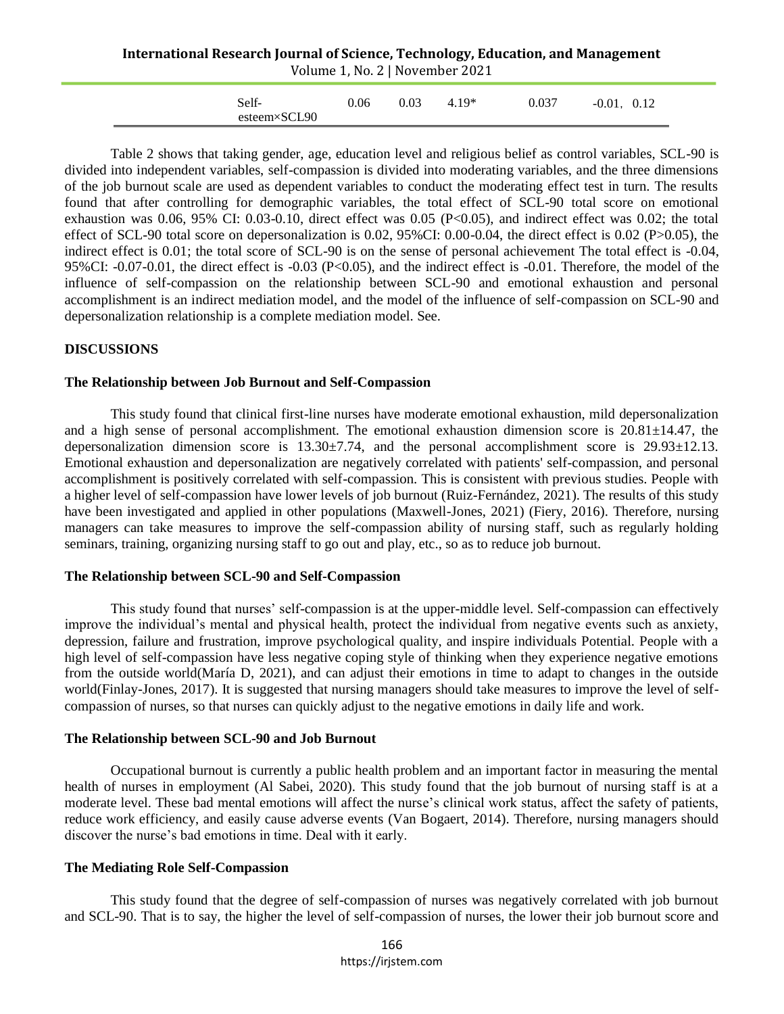#### **International Research Journal of Science, Technology, Education, and Management** Volume 1, No. 2 | November 2021

| Self-        | 0.06 | 0.03 | $4.19*$ | 0.037 | $-0.01$ .<br>0.12 |
|--------------|------|------|---------|-------|-------------------|
| esteem×SCL90 |      |      |         |       |                   |

 Table 2 shows that taking gender, age, education level and religious belief as control variables, SCL-90 is divided into independent variables, self-compassion is divided into moderating variables, and the three dimensions of the job burnout scale are used as dependent variables to conduct the moderating effect test in turn. The results found that after controlling for demographic variables, the total effect of SCL-90 total score on emotional exhaustion was 0.06, 95% CI: 0.03-0.10, direct effect was 0.05 (P<0.05), and indirect effect was 0.02; the total effect of SCL-90 total score on depersonalization is 0.02, 95%CI: 0.00-0.04, the direct effect is 0.02 (P>0.05), the indirect effect is 0.01; the total score of SCL-90 is on the sense of personal achievement The total effect is -0.04, 95%CI:  $-0.07-0.01$ , the direct effect is  $-0.03$  (P<0.05), and the indirect effect is  $-0.01$ . Therefore, the model of the influence of self-compassion on the relationship between SCL-90 and emotional exhaustion and personal accomplishment is an indirect mediation model, and the model of the influence of self-compassion on SCL-90 and depersonalization relationship is a complete mediation model. See.

# **DISCUSSIONS**

#### **The Relationship between Job Burnout and Self-Compassion**

This study found that clinical first-line nurses have moderate emotional exhaustion, mild depersonalization and a high sense of personal accomplishment. The emotional exhaustion dimension score is  $20.81 \pm 14.47$ , the depersonalization dimension score is  $13.30\pm7.74$ , and the personal accomplishment score is  $29.93\pm12.13$ . Emotional exhaustion and depersonalization are negatively correlated with patients' self-compassion, and personal accomplishment is positively correlated with self-compassion. This is consistent with previous studies. People with a higher level of self-compassion have lower levels of job burnout (Ruiz-Fernández, 2021). The results of this study have been investigated and applied in other populations (Maxwell-Jones, 2021) (Fiery, 2016). Therefore, nursing managers can take measures to improve the self-compassion ability of nursing staff, such as regularly holding seminars, training, organizing nursing staff to go out and play, etc., so as to reduce job burnout.

#### **The Relationship between SCL-90 and Self-Compassion**

This study found that nurses' self-compassion is at the upper-middle level. Self-compassion can effectively improve the individual's mental and physical health, protect the individual from negative events such as anxiety, depression, failure and frustration, improve psychological quality, and inspire individuals Potential. People with a high level of self-compassion have less negative coping style of thinking when they experience negative emotions from the outside world(María D, 2021), and can adjust their emotions in time to adapt to changes in the outside world(Finlay-Jones, 2017). It is suggested that nursing managers should take measures to improve the level of selfcompassion of nurses, so that nurses can quickly adjust to the negative emotions in daily life and work.

# **The Relationship between SCL-90 and Job Burnout**

Occupational burnout is currently a public health problem and an important factor in measuring the mental health of nurses in employment (Al Sabei, 2020). This study found that the job burnout of nursing staff is at a moderate level. These bad mental emotions will affect the nurse's clinical work status, affect the safety of patients, reduce work efficiency, and easily cause adverse events (Van Bogaert, 2014). Therefore, nursing managers should discover the nurse's bad emotions in time. Deal with it early.

# **The Mediating Role Self-Compassion**

This study found that the degree of self-compassion of nurses was negatively correlated with job burnout and SCL-90. That is to say, the higher the level of self-compassion of nurses, the lower their job burnout score and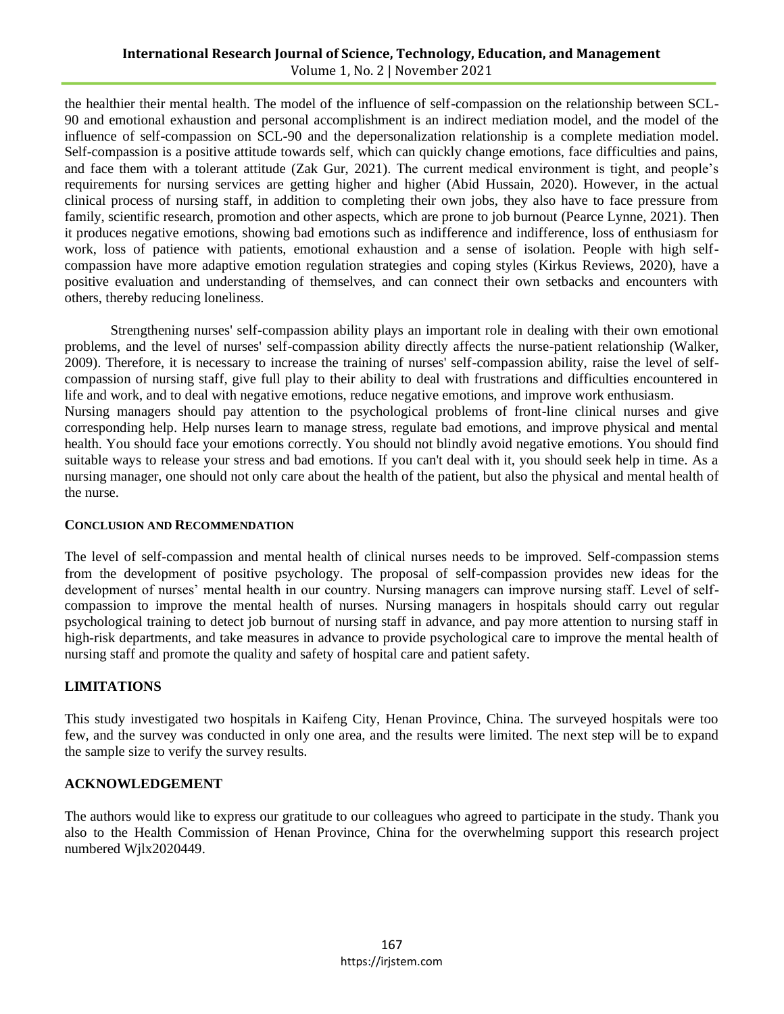# **International Research Journal of Science, Technology, Education, and Management** Volume 1, No. 2 | November 2021

the healthier their mental health. The model of the influence of self-compassion on the relationship between SCL-90 and emotional exhaustion and personal accomplishment is an indirect mediation model, and the model of the influence of self-compassion on SCL-90 and the depersonalization relationship is a complete mediation model. Self-compassion is a positive attitude towards self, which can quickly change emotions, face difficulties and pains, and face them with a tolerant attitude (Zak Gur, 2021). The current medical environment is tight, and people's requirements for nursing services are getting higher and higher (Abid Hussain, 2020). However, in the actual clinical process of nursing staff, in addition to completing their own jobs, they also have to face pressure from family, scientific research, promotion and other aspects, which are prone to job burnout (Pearce Lynne, 2021). Then it produces negative emotions, showing bad emotions such as indifference and indifference, loss of enthusiasm for work, loss of patience with patients, emotional exhaustion and a sense of isolation. People with high selfcompassion have more adaptive emotion regulation strategies and coping styles [\(Kirkus Reviews,](https://www.proquest.com/pubidlinkhandler/sng/pubtitle/Kirkus+Reviews/$N/756406/DocView/2353425282/fulltext/1EE5E6D17D0B4694PQ/7?accountid=38643) 2020), have a positive evaluation and understanding of themselves, and can connect their own setbacks and encounters with others, thereby reducing loneliness.

Strengthening nurses' self-compassion ability plays an important role in dealing with their own emotional problems, and the level of nurses' self-compassion ability directly affects the nurse-patient relationship (Walker, 2009). Therefore, it is necessary to increase the training of nurses' self-compassion ability, raise the level of selfcompassion of nursing staff, give full play to their ability to deal with frustrations and difficulties encountered in life and work, and to deal with negative emotions, reduce negative emotions, and improve work enthusiasm. Nursing managers should pay attention to the psychological problems of front-line clinical nurses and give corresponding help. Help nurses learn to manage stress, regulate bad emotions, and improve physical and mental health. You should face your emotions correctly. You should not blindly avoid negative emotions. You should find suitable ways to release your stress and bad emotions. If you can't deal with it, you should seek help in time. As a nursing manager, one should not only care about the health of the patient, but also the physical and mental health of the nurse.

# **CONCLUSION AND RECOMMENDATION**

The level of self-compassion and mental health of clinical nurses needs to be improved. Self-compassion stems from the development of positive psychology. The proposal of self-compassion provides new ideas for the development of nurses' mental health in our country. Nursing managers can improve nursing staff. Level of selfcompassion to improve the mental health of nurses. Nursing managers in hospitals should carry out regular psychological training to detect job burnout of nursing staff in advance, and pay more attention to nursing staff in high-risk departments, and take measures in advance to provide psychological care to improve the mental health of nursing staff and promote the quality and safety of hospital care and patient safety.

# **LIMITATIONS**

This study investigated two hospitals in Kaifeng City, Henan Province, China. The surveyed hospitals were too few, and the survey was conducted in only one area, and the results were limited. The next step will be to expand the sample size to verify the survey results.

# **ACKNOWLEDGEMENT**

The authors would like to express our gratitude to our colleagues who agreed to participate in the study. Thank you also to the Health Commission of Henan Province, China for the overwhelming support this research project numbered Wjlx2020449.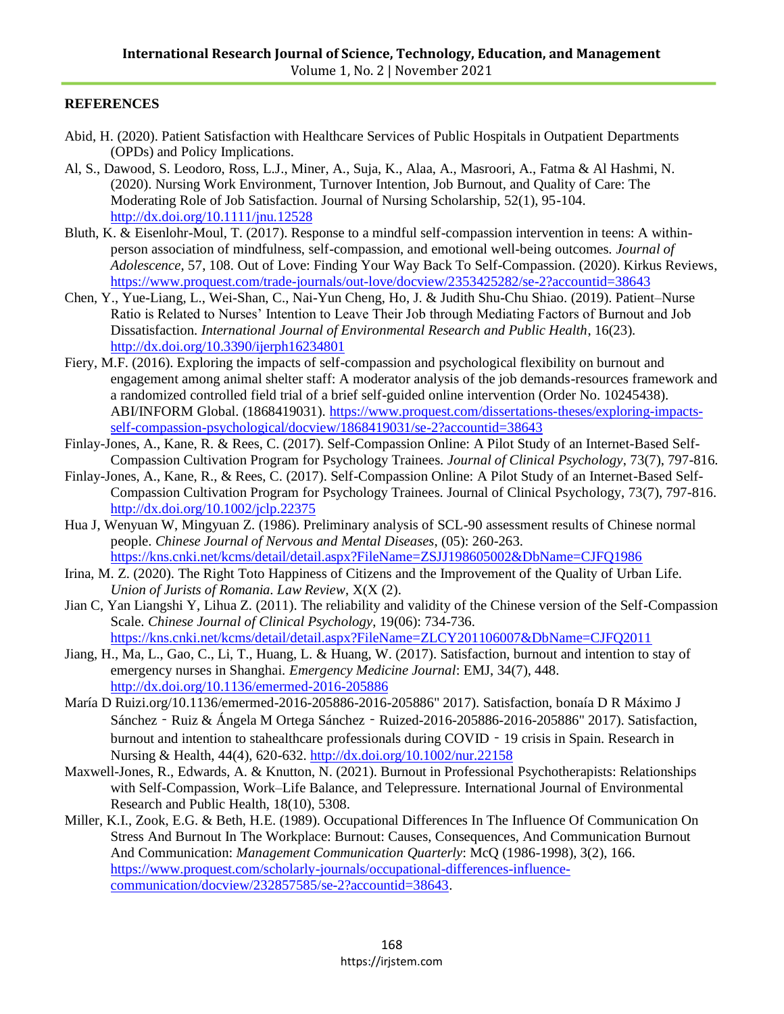# **REFERENCES**

- Abid, H. (2020). Patient Satisfaction with Healthcare Services of Public Hospitals in Outpatient Departments (OPDs) and Policy Implications.
- Al, S., Dawood, S. Leodoro, Ross, L.J., Miner, A., Suja, K., Alaa, A., Masroori, A., Fatma & Al Hashmi, N. (2020). Nursing Work Environment, Turnover Intention, Job Burnout, and Quality of Care: The Moderating Role of Job Satisfaction. Journal of Nursing Scholarship, 52(1), 95-104. <http://dx.doi.org/10.1111/jnu.12528>
- Bluth, K. & Eisenlohr-Moul, T. (2017). Response to a mindful self-compassion intervention in teens: A withinperson association of mindfulness, self-compassion, and emotional well-being outcomes. *Journal of Adolescence*, 57, 108. Out of Love: Finding Your Way Back To Self-Compassion. (2020). Kirkus Reviews, <https://www.proquest.com/trade-journals/out-love/docview/2353425282/se-2?accountid=38643>
- Chen, Y., Yue-Liang, L., Wei-Shan, C., Nai-Yun Cheng, Ho, J. & Judith Shu-Chu Shiao. (2019). Patient–Nurse Ratio is Related to Nurses' Intention to Leave Their Job through Mediating Factors of Burnout and Job Dissatisfaction. *International Journal of Environmental Research and Public Health*, 16(23). <http://dx.doi.org/10.3390/ijerph16234801>
- Fiery, M.F. (2016). Exploring the impacts of self-compassion and psychological flexibility on burnout and engagement among animal shelter staff: A moderator analysis of the job demands-resources framework and a randomized controlled field trial of a brief self-guided online intervention (Order No. 10245438). ABI/INFORM Global. (1868419031). [https://www.proquest.com/dissertations-theses/exploring-impacts](https://www.proquest.com/dissertations-theses/exploring-impacts-self-compassion-psychological/docview/1868419031/se-2?accountid=38643)[self-compassion-psychological/docview/1868419031/se-2?accountid=38643](https://www.proquest.com/dissertations-theses/exploring-impacts-self-compassion-psychological/docview/1868419031/se-2?accountid=38643)
- Finlay-Jones, A., Kane, R. & Rees, C. (2017). Self-Compassion Online: A Pilot Study of an Internet-Based Self-Compassion Cultivation Program for Psychology Trainees. *Journal of Clinical Psychology*, 73(7), 797-816.
- Finlay-Jones, A., Kane, R., & Rees, C. (2017). Self-Compassion Online: A Pilot Study of an Internet-Based Self-Compassion Cultivation Program for Psychology Trainees. Journal of Clinical Psychology, 73(7), 797-816. <http://dx.doi.org/10.1002/jclp.22375>
- Hua J, Wenyuan W, Mingyuan Z. (1986). Preliminary analysis of SCL-90 assessment results of Chinese normal people. *Chinese Journal of Nervous and Mental Diseases*, (05): 260-263. <https://kns.cnki.net/kcms/detail/detail.aspx?FileName=ZSJJ198605002&DbName=CJFQ1986>
- Irina, M. Z. (2020). The Right Toto Happiness of Citizens and the Improvement of the Quality of Urban Life. *Union of Jurists of Romania. Law Review*, X(X (2).
- Jian C, Yan Liangshi Y, Lihua Z. (2011). The reliability and validity of the Chinese version of the Self-Compassion Scale. *Chinese Journal of Clinical Psychology*, 19(06): 734-736. <https://kns.cnki.net/kcms/detail/detail.aspx?FileName=ZLCY201106007&DbName=CJFQ2011>
- Jiang, H., Ma, L., Gao, C., Li, T., Huang, L. & Huang, W. (2017). Satisfaction, burnout and intention to stay of emergency nurses in Shanghai. *Emergency Medicine Journal*: EMJ, 34(7), 448. <http://dx.doi.org/10.1136/emermed-2016-205886>
- María D Ruizi.org/10.1136/emermed-2016-205886-2016-205886" 2017). Satisfaction, bonaía D R Máximo J Sánchez - Ruiz & Ángela M Ortega Sánchez - Ruized-2016-205886-2016-205886" 2017). Satisfaction, burnout and intention to stahealthcare professionals during COVID - 19 crisis in Spain. Research in Nursing & Health, 44(4), 620-632.<http://dx.doi.org/10.1002/nur.22158>
- Maxwell-Jones, R., Edwards, A. & Knutton, N. (2021). Burnout in Professional Psychotherapists: Relationships with Self-Compassion, Work–Life Balance, and Telepressure. International Journal of Environmental Research and Public Health, 18(10), 5308.
- Miller, K.I., Zook, E.G. & Beth, H.E. (1989). Occupational Differences In The Influence Of Communication On Stress And Burnout In The Workplace: Burnout: Causes, Consequences, And Communication Burnout And Communication: *Management Communication Quarterly*: McQ (1986-1998), 3(2), 166. [https://www.proquest.com/scholarly-journals/occupational-differences-influence](https://www.proquest.com/scholarly-journals/occupational-differences-influence-communication/docview/232857585/se-2?accountid=38643)[communication/docview/232857585/se-2?accountid=38643.](https://www.proquest.com/scholarly-journals/occupational-differences-influence-communication/docview/232857585/se-2?accountid=38643)